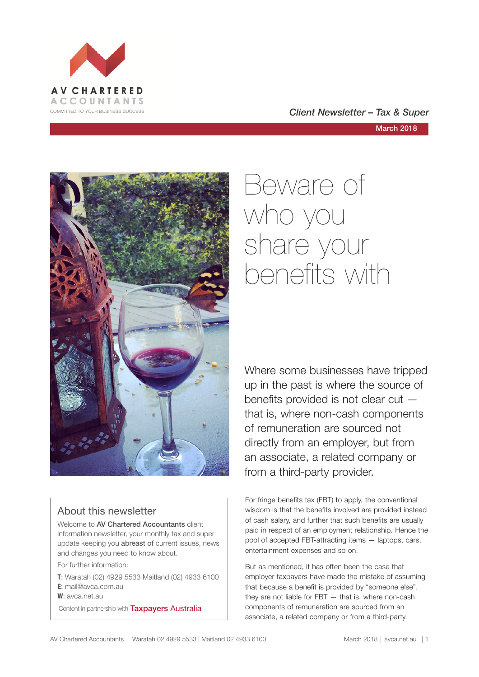

#### COMMITTED TO YOUR BUSINESS SUCCESS **COMMITTED TO YOUR BUSINESS SUCCESS**

#### March 2018



#### About this newsletter

Welcome to AV Chartered Accountants client information newsletter, your monthly tax and super update keeping you abreast of current issues, news and changes you need to know about.

For further information:

**T**: Waratah (02) 4929 5533 Maitland (02) 4933 6100 **E**: mail@avca.com.au

**W**: avca.net.au

Content in partnership with **Taxpayers Australia** 

## Beware of who you share your benefits with

Where some businesses have tripped up in the past is where the source of benefits provided is not clear cut that is, where non-cash components of remuneration are sourced not directly from an employer, but from an associate, a related company or from a third-party provider.

For fringe benefits tax (FBT) to apply, the conventional wisdom is that the benefits involved are provided instead of cash salary, and further that such benefits are usually paid in respect of an employment relationship. Hence the pool of accepted FBT-attracting items — laptops, cars, entertainment expenses and so on.

But as mentioned, it has often been the case that employer taxpayers have made the mistake of assuming that because a benefit is provided by "someone else", they are not liable for FBT — that is, where non-cash components of remuneration are sourced from an associate, a related company or from a third-party.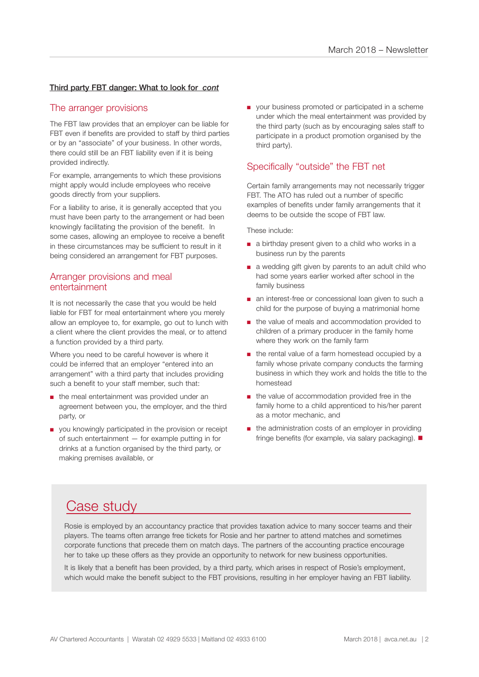#### Third party FBT danger: What to look for *cont*

#### The arranger provisions

The FBT law provides that an employer can be liable for FBT even if benefits are provided to staff by third parties or by an "associate" of your business. In other words, there could still be an FBT liability even if it is being provided indirectly.

For example, arrangements to which these provisions might apply would include employees who receive goods directly from your suppliers.

For a liability to arise, it is generally accepted that you must have been party to the arrangement or had been knowingly facilitating the provision of the benefit. In some cases, allowing an employee to receive a benefit in these circumstances may be sufficient to result in it being considered an arrangement for FBT purposes.

#### Arranger provisions and meal entertainment

It is not necessarily the case that you would be held liable for FBT for meal entertainment where you merely allow an employee to, for example, go out to lunch with a client where the client provides the meal, or to attend a function provided by a third party.

Where you need to be careful however is where it could be inferred that an employer "entered into an arrangement" with a third party that includes providing such a benefit to your staff member, such that:

- the meal entertainment was provided under an agreement between you, the employer, and the third party, or
- you knowingly participated in the provision or receipt of such entertainment — for example putting in for drinks at a function organised by the third party, or making premises available, or

■ your business promoted or participated in a scheme under which the meal entertainment was provided by the third party (such as by encouraging sales staff to participate in a product promotion organised by the third party).

#### Specifically "outside" the FBT net

Certain family arrangements may not necessarily trigger FBT. The ATO has ruled out a number of specific examples of benefits under family arrangements that it deems to be outside the scope of FBT law.

These include:

- a birthday present given to a child who works in a business run by the parents
- a wedding gift given by parents to an adult child who had some years earlier worked after school in the family business
- an interest-free or concessional loan given to such a child for the purpose of buying a matrimonial home
- the value of meals and accommodation provided to children of a primary producer in the family home where they work on the family farm
- the rental value of a farm homestead occupied by a family whose private company conducts the farming business in which they work and holds the title to the homestead
- the value of accommodation provided free in the family home to a child apprenticed to his/her parent as a motor mechanic, and
- the administration costs of an employer in providing fringe benefits (for example, via salary packaging).  $\blacksquare$

#### Case study

Rosie is employed by an accountancy practice that provides taxation advice to many soccer teams and their players. The teams often arrange free tickets for Rosie and her partner to attend matches and sometimes corporate functions that precede them on match days. The partners of the accounting practice encourage her to take up these offers as they provide an opportunity to network for new business opportunities.

It is likely that a benefit has been provided, by a third party, which arises in respect of Rosie's employment, which would make the benefit subject to the FBT provisions, resulting in her employer having an FBT liability.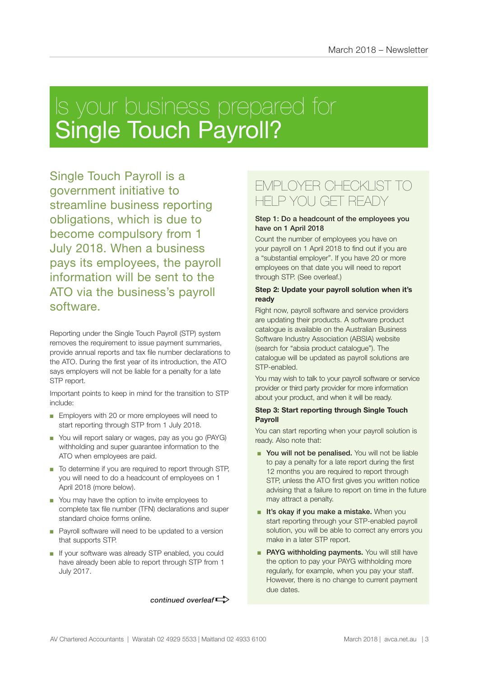## Is your business prepared for Single Touch Payroll?

Single Touch Payroll is a government initiative to streamline business reporting obligations, which is due to become compulsory from 1 July 2018. When a business pays its employees, the payroll information will be sent to the ATO via the business's payroll software.

Reporting under the Single Touch Payroll (STP) system removes the requirement to issue payment summaries, provide annual reports and tax file number declarations to the ATO. During the first year of its introduction, the ATO says employers will not be liable for a penalty for a late STP report.

Important points to keep in mind for the transition to STP include:

- Employers with 20 or more employees will need to start reporting through STP from 1 July 2018.
- You will report salary or wages, pay as you go (PAYG) withholding and super guarantee information to the ATO when employees are paid.
- To determine if you are required to report through STP, you will need to do a headcount of employees on 1 April 2018 (more below).
- You may have the option to invite employees to complete tax file number (TFN) declarations and super standard choice forms online.
- Payroll software will need to be updated to a version that supports STP.
- If your software was already STP enabled, you could have already been able to report through STP from 1 July 2017.

*continued overleaf* 

#### EMPLOYER CHECKLIST TO HELP YOU GET READY

#### Step 1: Do a headcount of the employees you have on 1 April 2018

Count the number of employees you have on your payroll on 1 April 2018 to find out if you are a "substantial employer". If you have 20 or more employees on that date you will need to report through STP. (See overleaf.)

#### **Step 2: Update your payroll solution when it's ready**

Right now, payroll software and service providers are updating their products. A software product catalogue is available on the Australian Business Software Industry Association (ABSIA) website (search for "absia product catalogue"). The catalogue will be updated as payroll solutions are STP-enabled.

You may wish to talk to your payroll software or service provider or third party provider for more information about your product, and when it will be ready.

#### **Step 3: Start reporting through Single Touch Payroll**

You can start reporting when your payroll solution is ready. Also note that:

- You will not be penalised. You will not be liable to pay a penalty for a late report during the first 12 months you are required to report through STP, unless the ATO first gives you written notice advising that a failure to report on time in the future may attract a penalty.
- It's okay if you make a mistake. When you start reporting through your STP-enabled payroll solution, you will be able to correct any errors you make in a later STP report.
- PAYG withholding payments. You will still have the option to pay your PAYG withholding more regularly, for example, when you pay your staff. However, there is no change to current payment due dates.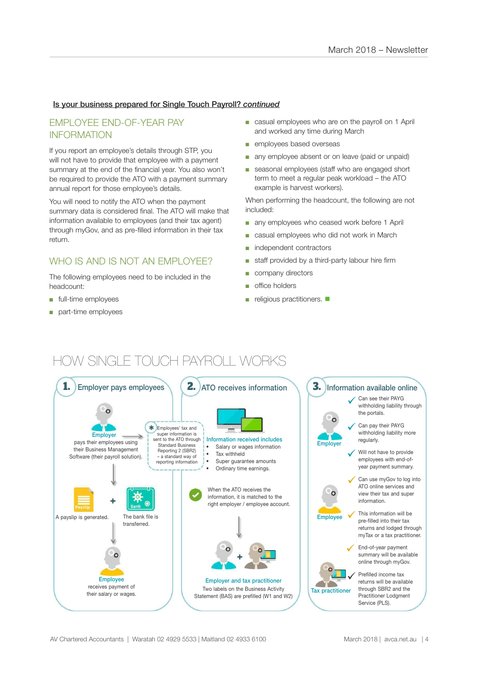#### Is your business prepared for Single Touch Payroll? *continued*

#### EMPLOYEE END-OF-YEAR PAY INFORMATION

If you report an employee's details through STP, you will not have to provide that employee with a payment summary at the end of the financial year. You also won't be required to provide the ATO with a payment summary annual report for those employee's details.

You will need to notify the ATO when the payment summary data is considered final. The ATO will make that information available to employees (and their tax agent) through myGov, and as pre-filled information in their tax return.

#### WHO IS AND IS NOT AN FMPLOYEE?

The following employees need to be included in the headcount:

- full-time employees
- part-time employees
- casual employees who are on the payroll on 1 April and worked any time during March
- employees based overseas
- any employee absent or on leave (paid or unpaid)
- seasonal employees (staff who are engaged short term to meet a regular peak workload – the ATO example is harvest workers).

When performing the headcount, the following are not included:

- any employees who ceased work before 1 April
- casual employees who did not work in March
- independent contractors
- staff provided by a third-party labour hire firm
- company directors
- office holders
- $\blacksquare$  religious practitioners.  $\blacksquare$

#### HOW SINGLE TOUCH PAYROLL WORKS

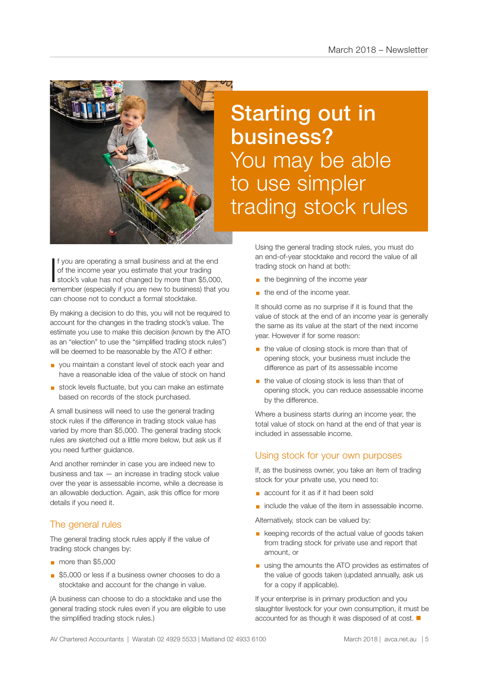

If you are operating a small business and at the end<br>of the income year you estimate that your trading<br>stock's value has not changed by more than \$5,000, f you are operating a small business and at the end of the income year you estimate that your trading remember (especially if you are new to business) that you can choose not to conduct a formal stocktake.

By making a decision to do this, you will not be required to account for the changes in the trading stock's value. The estimate you use to make this decision (known by the ATO as an "election" to use the "simplified trading stock rules") will be deemed to be reasonable by the ATO if either:

- you maintain a constant level of stock each year and have a reasonable idea of the value of stock on hand
- stock levels fluctuate, but you can make an estimate based on records of the stock purchased.

A small business will need to use the general trading stock rules if the difference in trading stock value has varied by more than \$5,000. The general trading stock rules are sketched out a little more below, but ask us if you need further guidance.

And another reminder in case you are indeed new to business and tax — an increase in trading stock value over the year is assessable income, while a decrease is an allowable deduction. Again, ask this office for more details if you need it.

#### The general rules

The general trading stock rules apply if the value of trading stock changes by:

- § more than \$5,000
- \$5,000 or less if a business owner chooses to do a stocktake and account for the change in value.

(A business can choose to do a stocktake and use the general trading stock rules even if you are eligible to use the simplified trading stock rules.)

## Starting out in business? You may be able to use simpler trading stock rules

Using the general trading stock rules, you must do an end-of-year stocktake and record the value of all trading stock on hand at both:

- **•** the beginning of the income year
- $\blacksquare$  the end of the income year.

It should come as no surprise if it is found that the value of stock at the end of an income year is generally the same as its value at the start of the next income year. However if for some reason:

- the value of closing stock is more than that of opening stock, your business must include the difference as part of its assessable income
- the value of closing stock is less than that of opening stock, you can reduce assessable income by the difference.

Where a business starts during an income year, the total value of stock on hand at the end of that year is included in assessable income.

#### Using stock for your own purposes

If, as the business owner, you take an item of trading stock for your private use, you need to:

- account for it as if it had been sold
- include the value of the item in assessable income.

Alternatively, stock can be valued by:

- keeping records of the actual value of goods taken from trading stock for private use and report that amount, or
- using the amounts the ATO provides as estimates of the value of goods taken (updated annually, ask us for a copy if applicable).

If your enterprise is in primary production and you slaughter livestock for your own consumption, it must be accounted for as though it was disposed of at cost.  $\blacksquare$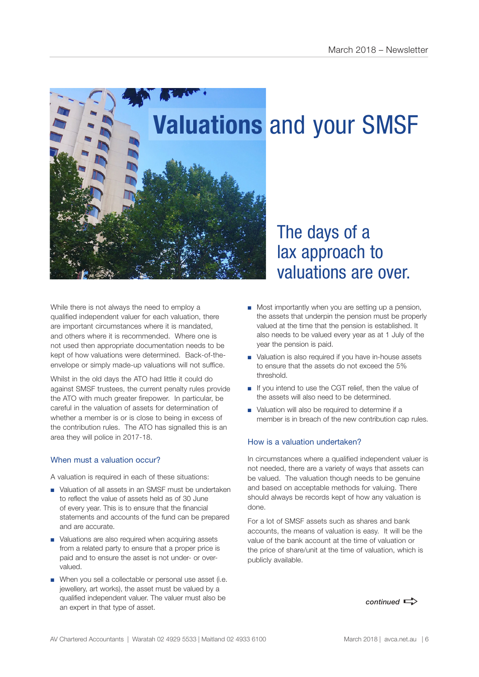

While there is not always the need to employ a qualified independent valuer for each valuation, there are important circumstances where it is mandated, and others where it is recommended. Where one is not used then appropriate documentation needs to be kept of how valuations were determined. Back-of-theenvelope or simply made-up valuations will not suffice.

Whilst in the old days the ATO had little it could do against SMSF trustees, the current penalty rules provide the ATO with much greater firepower. In particular, be careful in the valuation of assets for determination of whether a member is or is close to being in excess of the contribution rules. The ATO has signalled this is an area they will police in 2017-18.

#### When must a valuation occur?

A valuation is required in each of these situations:

- Valuation of all assets in an SMSF must be undertaken to reflect the value of assets held as of 30 June of every year. This is to ensure that the financial statements and accounts of the fund can be prepared and are accurate.
- Valuations are also required when acquiring assets from a related party to ensure that a proper price is paid and to ensure the asset is not under- or overvalued.
- When you sell a collectable or personal use asset (i.e. jewellery, art works), the asset must be valued by a qualified independent valuer. The valuer must also be an expert in that type of asset.

# valuations are over.

- Most importantly when you are setting up a pension, the assets that underpin the pension must be properly valued at the time that the pension is established. It also needs to be valued every year as at 1 July of the year the pension is paid.
- Valuation is also required if you have in-house assets to ensure that the assets do not exceed the 5% threshold.
- If you intend to use the CGT relief, then the value of the assets will also need to be determined.
- Valuation will also be required to determine if a member is in breach of the new contribution cap rules.

#### How is a valuation undertaken?

In circumstances where a qualified independent valuer is not needed, there are a variety of ways that assets can be valued. The valuation though needs to be genuine and based on acceptable methods for valuing. There should always be records kept of how any valuation is done.

For a lot of SMSF assets such as shares and bank accounts, the means of valuation is easy. It will be the value of the bank account at the time of valuation or the price of share/unit at the time of valuation, which is publicly available.

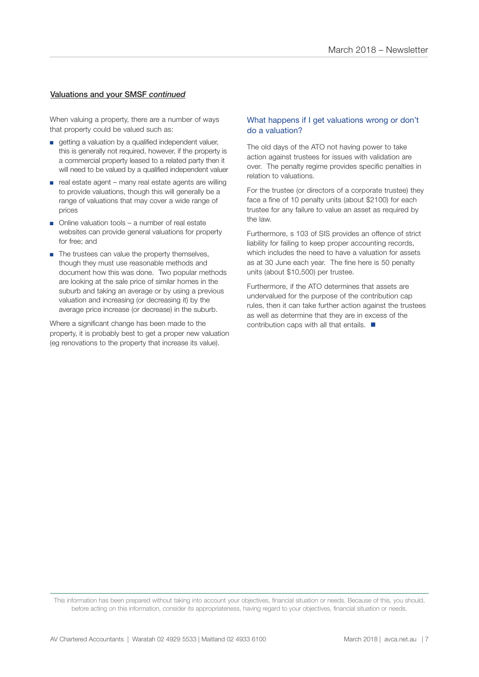#### Valuations and your SMSF *continued*

When valuing a property, there are a number of ways that property could be valued such as:

- getting a valuation by a qualified independent valuer, this is generally not required, however, if the property is a commercial property leased to a related party then it will need to be valued by a qualified independent valuer
- real estate agent many real estate agents are willing to provide valuations, though this will generally be a range of valuations that may cover a wide range of prices
- Online valuation tools a number of real estate websites can provide general valuations for property for free; and
- The trustees can value the property themselves, though they must use reasonable methods and document how this was done. Two popular methods are looking at the sale price of similar homes in the suburb and taking an average or by using a previous valuation and increasing (or decreasing it) by the average price increase (or decrease) in the suburb.

Where a significant change has been made to the property, it is probably best to get a proper new valuation (eg renovations to the property that increase its value).

#### What happens if I get valuations wrong or don't do a valuation?

The old days of the ATO not having power to take action against trustees for issues with validation are over. The penalty regime provides specific penalties in relation to valuations.

For the trustee (or directors of a corporate trustee) they face a fine of 10 penalty units (about \$2100) for each trustee for any failure to value an asset as required by the law.

Furthermore, s 103 of SIS provides an offence of strict liability for failing to keep proper accounting records, which includes the need to have a valuation for assets as at 30 June each year. The fine here is 50 penalty units (about \$10,500) per trustee.

Furthermore, if the ATO determines that assets are undervalued for the purpose of the contribution cap rules, then it can take further action against the trustees as well as determine that they are in excess of the contribution caps with all that entails.  $\blacksquare$ 

This information has been prepared without taking into account your objectives, financial situation or needs. Because of this, you should, before acting on this information, consider its appropriateness, having regard to your objectives, financial situation or needs.